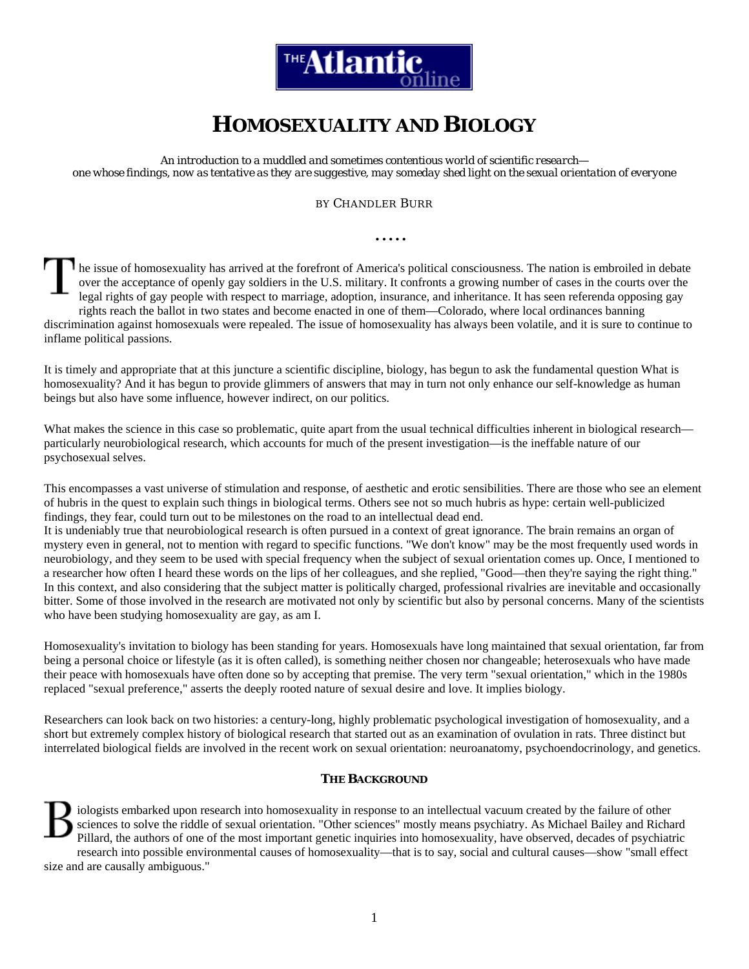

# **HOMOSEXUALITY AND BIOLOGY**

*An introduction to a muddled and sometimes contentious world of scientific research one whose findings, now as tentative as they are suggestive, may someday shed light on the sexual orientation of everyone*

#### BY CHANDLER BURR

**.....** 

he issue of homosexuality has arrived at the forefront of America's political consciousness. The nation is embroiled in debate over the acceptance of openly gay soldiers in the U.S. military. It confronts a growing number of cases in the courts over the legal rights of gay people with respect to marriage, adoption, insurance, and inheritance. It has seen referenda opposing gay rights reach the ballot in two states and become enacted in one of them—Colorado, where local ordinances banning discrimination against homosexuals were repealed. The issue of homosexuality has always been volatile, and it is sure to continue to inflame political passions.

It is timely and appropriate that at this juncture a scientific discipline, biology, has begun to ask the fundamental question What is homosexuality? And it has begun to provide glimmers of answers that may in turn not only enhance our self-knowledge as human beings but also have some influence, however indirect, on our politics.

What makes the science in this case so problematic, quite apart from the usual technical difficulties inherent in biological research particularly neurobiological research, which accounts for much of the present investigation—is the ineffable nature of our psychosexual selves.

This encompasses a vast universe of stimulation and response, of aesthetic and erotic sensibilities. There are those who see an element of hubris in the quest to explain such things in biological terms. Others see not so much hubris as hype: certain well-publicized findings, they fear, could turn out to be milestones on the road to an intellectual dead end.

It is undeniably true that neurobiological research is often pursued in a context of great ignorance. The brain remains an organ of mystery even in general, not to mention with regard to specific functions. "We don't know" may be the most frequently used words in neurobiology, and they seem to be used with special frequency when the subject of sexual orientation comes up. Once, I mentioned to a researcher how often I heard these words on the lips of her colleagues, and she replied, "Good—then they're saying the right thing." In this context, and also considering that the subject matter is politically charged, professional rivalries are inevitable and occasionally bitter. Some of those involved in the research are motivated not only by scientific but also by personal concerns. Many of the scientists who have been studying homosexuality are gay, as am I.

Homosexuality's invitation to biology has been standing for years. Homosexuals have long maintained that sexual orientation, far from being a personal choice or lifestyle (as it is often called), is something neither chosen nor changeable; heterosexuals who have made their peace with homosexuals have often done so by accepting that premise. The very term "sexual orientation," which in the 1980s replaced "sexual preference," asserts the deeply rooted nature of sexual desire and love. It implies biology.

Researchers can look back on two histories: a century-long, highly problematic psychological investigation of homosexuality, and a short but extremely complex history of biological research that started out as an examination of ovulation in rats. Three distinct but interrelated biological fields are involved in the recent work on sexual orientation: neuroanatomy, psychoendocrinology, and genetics.

#### **THE BACKGROUND**

iologists embarked upon research into homosexuality in response to an intellectual vacuum created by the failure of other sciences to solve the riddle of sexual orientation. "Other sciences" mostly means psychiatry. As Michael Bailey and Richard Pillard, the authors of one of the most important genetic inquiries into homosexuality, have observed, decades of psychiatric research into possible environmental causes of homosexuality—that is to say, social and cultural causes—show "small effect size and are causally ambiguous."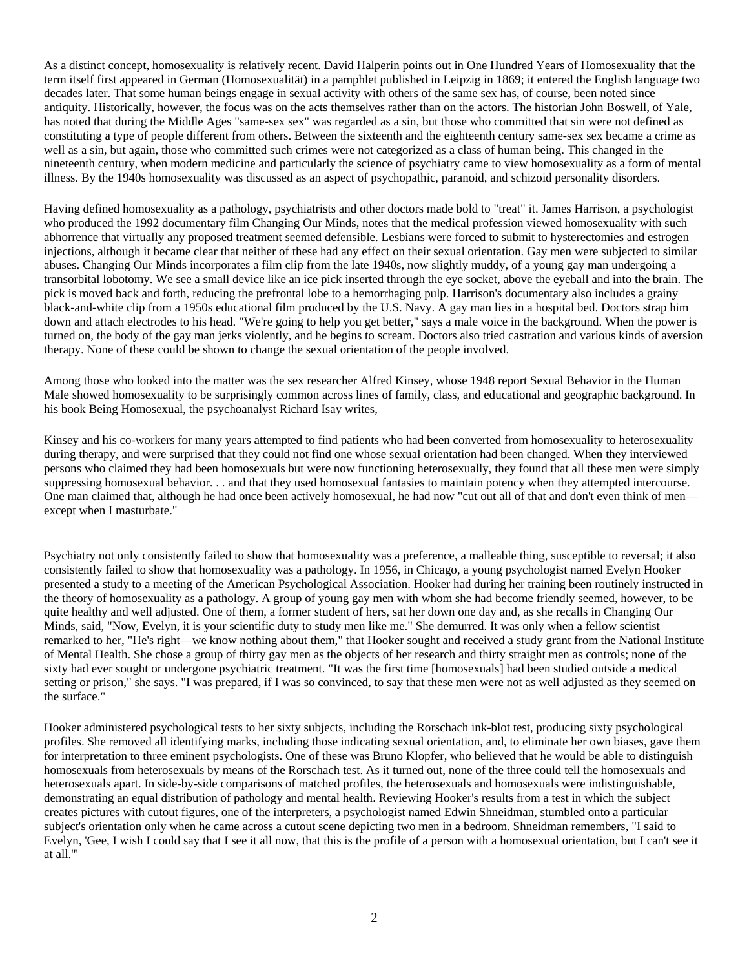As a distinct concept, homosexuality is relatively recent. David Halperin points out in One Hundred Years of Homosexuality that the term itself first appeared in German (Homosexualität) in a pamphlet published in Leipzig in 1869; it entered the English language two decades later. That some human beings engage in sexual activity with others of the same sex has, of course, been noted since antiquity. Historically, however, the focus was on the acts themselves rather than on the actors. The historian John Boswell, of Yale, has noted that during the Middle Ages "same-sex sex" was regarded as a sin, but those who committed that sin were not defined as constituting a type of people different from others. Between the sixteenth and the eighteenth century same-sex sex became a crime as well as a sin, but again, those who committed such crimes were not categorized as a class of human being. This changed in the nineteenth century, when modern medicine and particularly the science of psychiatry came to view homosexuality as a form of mental illness. By the 1940s homosexuality was discussed as an aspect of psychopathic, paranoid, and schizoid personality disorders.

Having defined homosexuality as a pathology, psychiatrists and other doctors made bold to "treat" it. James Harrison, a psychologist who produced the 1992 documentary film Changing Our Minds, notes that the medical profession viewed homosexuality with such abhorrence that virtually any proposed treatment seemed defensible. Lesbians were forced to submit to hysterectomies and estrogen injections, although it became clear that neither of these had any effect on their sexual orientation. Gay men were subjected to similar abuses. Changing Our Minds incorporates a film clip from the late 1940s, now slightly muddy, of a young gay man undergoing a transorbital lobotomy. We see a small device like an ice pick inserted through the eye socket, above the eyeball and into the brain. The pick is moved back and forth, reducing the prefrontal lobe to a hemorrhaging pulp. Harrison's documentary also includes a grainy black-and-white clip from a 1950s educational film produced by the U.S. Navy. A gay man lies in a hospital bed. Doctors strap him down and attach electrodes to his head. "We're going to help you get better," says a male voice in the background. When the power is turned on, the body of the gay man jerks violently, and he begins to scream. Doctors also tried castration and various kinds of aversion therapy. None of these could be shown to change the sexual orientation of the people involved.

Among those who looked into the matter was the sex researcher Alfred Kinsey, whose 1948 report Sexual Behavior in the Human Male showed homosexuality to be surprisingly common across lines of family, class, and educational and geographic background. In his book Being Homosexual, the psychoanalyst Richard Isay writes,

Kinsey and his co-workers for many years attempted to find patients who had been converted from homosexuality to heterosexuality during therapy, and were surprised that they could not find one whose sexual orientation had been changed. When they interviewed persons who claimed they had been homosexuals but were now functioning heterosexually, they found that all these men were simply suppressing homosexual behavior. . . and that they used homosexual fantasies to maintain potency when they attempted intercourse. One man claimed that, although he had once been actively homosexual, he had now "cut out all of that and don't even think of men except when I masturbate."

Psychiatry not only consistently failed to show that homosexuality was a preference, a malleable thing, susceptible to reversal; it also consistently failed to show that homosexuality was a pathology. In 1956, in Chicago, a young psychologist named Evelyn Hooker presented a study to a meeting of the American Psychological Association. Hooker had during her training been routinely instructed in the theory of homosexuality as a pathology. A group of young gay men with whom she had become friendly seemed, however, to be quite healthy and well adjusted. One of them, a former student of hers, sat her down one day and, as she recalls in Changing Our Minds, said, "Now, Evelyn, it is your scientific duty to study men like me." She demurred. It was only when a fellow scientist remarked to her, "He's right—we know nothing about them," that Hooker sought and received a study grant from the National Institute of Mental Health. She chose a group of thirty gay men as the objects of her research and thirty straight men as controls; none of the sixty had ever sought or undergone psychiatric treatment. "It was the first time [homosexuals] had been studied outside a medical setting or prison," she says. "I was prepared, if I was so convinced, to say that these men were not as well adjusted as they seemed on the surface."

Hooker administered psychological tests to her sixty subjects, including the Rorschach ink-blot test, producing sixty psychological profiles. She removed all identifying marks, including those indicating sexual orientation, and, to eliminate her own biases, gave them for interpretation to three eminent psychologists. One of these was Bruno Klopfer, who believed that he would be able to distinguish homosexuals from heterosexuals by means of the Rorschach test. As it turned out, none of the three could tell the homosexuals and heterosexuals apart. In side-by-side comparisons of matched profiles, the heterosexuals and homosexuals were indistinguishable, demonstrating an equal distribution of pathology and mental health. Reviewing Hooker's results from a test in which the subject creates pictures with cutout figures, one of the interpreters, a psychologist named Edwin Shneidman, stumbled onto a particular subject's orientation only when he came across a cutout scene depicting two men in a bedroom. Shneidman remembers, "I said to Evelyn, 'Gee, I wish I could say that I see it all now, that this is the profile of a person with a homosexual orientation, but I can't see it at all.'"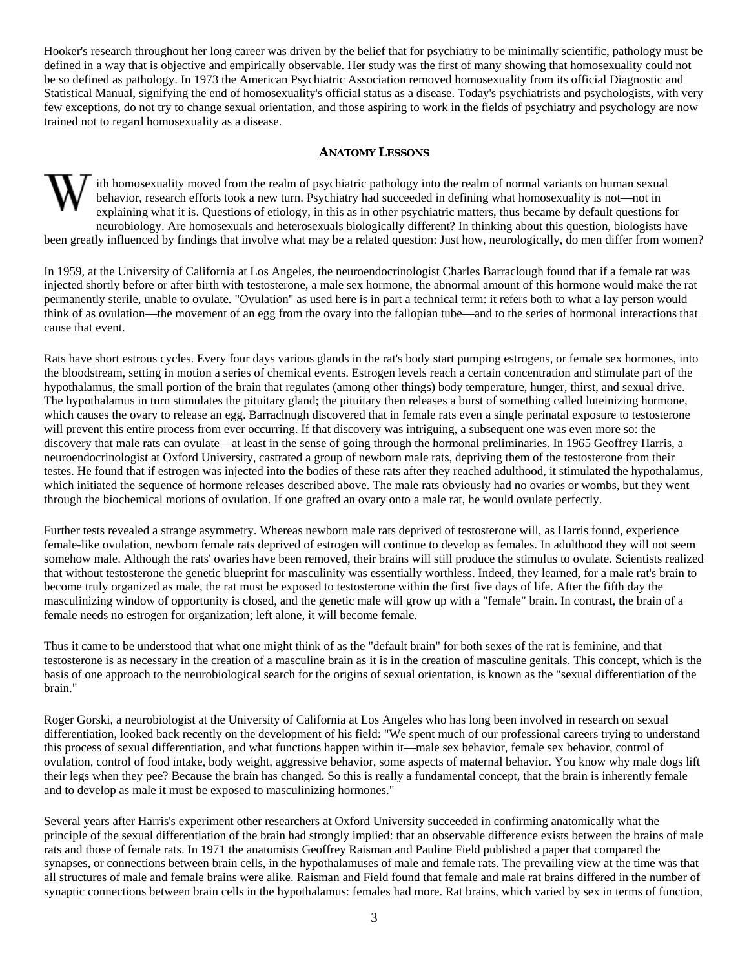Hooker's research throughout her long career was driven by the belief that for psychiatry to be minimally scientific, pathology must be defined in a way that is objective and empirically observable. Her study was the first of many showing that homosexuality could not be so defined as pathology. In 1973 the American Psychiatric Association removed homosexuality from its official Diagnostic and Statistical Manual, signifying the end of homosexuality's official status as a disease. Today's psychiatrists and psychologists, with very few exceptions, do not try to change sexual orientation, and those aspiring to work in the fields of psychiatry and psychology are now trained not to regard homosexuality as a disease.

### **ANATOMY LESSONS**

ith homosexuality moved from the realm of psychiatric pathology into the realm of normal variants on human sexual behavior, research efforts took a new turn. Psychiatry had succeeded in defining what homosexuality is not—not in explaining what it is. Questions of etiology, in this as in other psychiatric matters, thus became by default questions for neurobiology. Are homosexuals and heterosexuals biologically different? In thinking about this question, biologists have been greatly influenced by findings that involve what may be a related question: Just how, neurologically, do men differ from women?

In 1959, at the University of California at Los Angeles, the neuroendocrinologist Charles Barraclough found that if a female rat was injected shortly before or after birth with testosterone, a male sex hormone, the abnormal amount of this hormone would make the rat permanently sterile, unable to ovulate. "Ovulation" as used here is in part a technical term: it refers both to what a lay person would think of as ovulation—the movement of an egg from the ovary into the fallopian tube—and to the series of hormonal interactions that cause that event.

Rats have short estrous cycles. Every four days various glands in the rat's body start pumping estrogens, or female sex hormones, into the bloodstream, setting in motion a series of chemical events. Estrogen levels reach a certain concentration and stimulate part of the hypothalamus, the small portion of the brain that regulates (among other things) body temperature, hunger, thirst, and sexual drive. The hypothalamus in turn stimulates the pituitary gland; the pituitary then releases a burst of something called luteinizing hormone, which causes the ovary to release an egg. Barraclnugh discovered that in female rats even a single perinatal exposure to testosterone will prevent this entire process from ever occurring. If that discovery was intriguing, a subsequent one was even more so: the discovery that male rats can ovulate—at least in the sense of going through the hormonal preliminaries. In 1965 Geoffrey Harris, a neuroendocrinologist at Oxford University, castrated a group of newborn male rats, depriving them of the testosterone from their testes. He found that if estrogen was injected into the bodies of these rats after they reached adulthood, it stimulated the hypothalamus, which initiated the sequence of hormone releases described above. The male rats obviously had no ovaries or wombs, but they went through the biochemical motions of ovulation. If one grafted an ovary onto a male rat, he would ovulate perfectly.

Further tests revealed a strange asymmetry. Whereas newborn male rats deprived of testosterone will, as Harris found, experience female-like ovulation, newborn female rats deprived of estrogen will continue to develop as females. In adulthood they will not seem somehow male. Although the rats' ovaries have been removed, their brains will still produce the stimulus to ovulate. Scientists realized that without testosterone the genetic blueprint for masculinity was essentially worthless. Indeed, they learned, for a male rat's brain to become truly organized as male, the rat must be exposed to testosterone within the first five days of life. After the fifth day the masculinizing window of opportunity is closed, and the genetic male will grow up with a "female" brain. In contrast, the brain of a female needs no estrogen for organization; left alone, it will become female.

Thus it came to be understood that what one might think of as the "default brain" for both sexes of the rat is feminine, and that testosterone is as necessary in the creation of a masculine brain as it is in the creation of masculine genitals. This concept, which is the basis of one approach to the neurobiological search for the origins of sexual orientation, is known as the "sexual differentiation of the brain."

Roger Gorski, a neurobiologist at the University of California at Los Angeles who has long been involved in research on sexual differentiation, looked back recently on the development of his field: "We spent much of our professional careers trying to understand this process of sexual differentiation, and what functions happen within it—male sex behavior, female sex behavior, control of ovulation, control of food intake, body weight, aggressive behavior, some aspects of maternal behavior. You know why male dogs lift their legs when they pee? Because the brain has changed. So this is really a fundamental concept, that the brain is inherently female and to develop as male it must be exposed to masculinizing hormones."

Several years after Harris's experiment other researchers at Oxford University succeeded in confirming anatomically what the principle of the sexual differentiation of the brain had strongly implied: that an observable difference exists between the brains of male rats and those of female rats. In 1971 the anatomists Geoffrey Raisman and Pauline Field published a paper that compared the synapses, or connections between brain cells, in the hypothalamuses of male and female rats. The prevailing view at the time was that all structures of male and female brains were alike. Raisman and Field found that female and male rat brains differed in the number of synaptic connections between brain cells in the hypothalamus: females had more. Rat brains, which varied by sex in terms of function,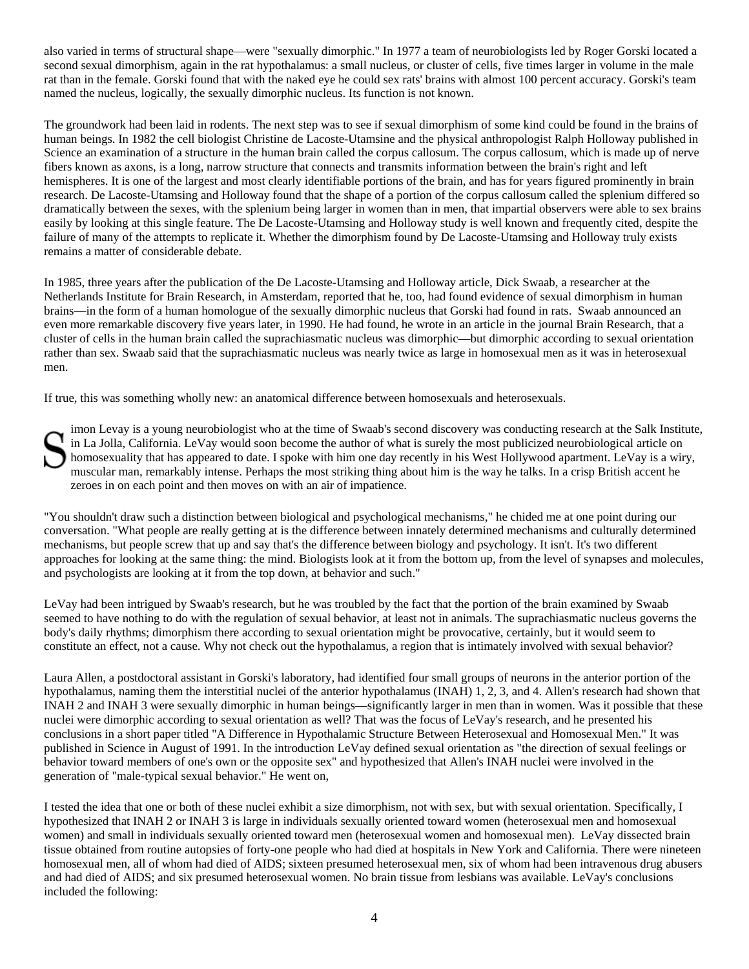also varied in terms of structural shape—were "sexually dimorphic." In 1977 a team of neurobiologists led by Roger Gorski located a second sexual dimorphism, again in the rat hypothalamus: a small nucleus, or cluster of cells, five times larger in volume in the male rat than in the female. Gorski found that with the naked eye he could sex rats' brains with almost 100 percent accuracy. Gorski's team named the nucleus, logically, the sexually dimorphic nucleus. Its function is not known.

The groundwork had been laid in rodents. The next step was to see if sexual dimorphism of some kind could be found in the brains of human beings. In 1982 the cell biologist Christine de Lacoste-Utamsine and the physical anthropologist Ralph Holloway published in Science an examination of a structure in the human brain called the corpus callosum. The corpus callosum, which is made up of nerve fibers known as axons, is a long, narrow structure that connects and transmits information between the brain's right and left hemispheres. It is one of the largest and most clearly identifiable portions of the brain, and has for years figured prominently in brain research. De Lacoste-Utamsing and Holloway found that the shape of a portion of the corpus callosum called the splenium differed so dramatically between the sexes, with the splenium being larger in women than in men, that impartial observers were able to sex brains easily by looking at this single feature. The De Lacoste-Utamsing and Holloway study is well known and frequently cited, despite the failure of many of the attempts to replicate it. Whether the dimorphism found by De Lacoste-Utamsing and Holloway truly exists remains a matter of considerable debate.

In 1985, three years after the publication of the De Lacoste-Utamsing and Holloway article, Dick Swaab, a researcher at the Netherlands Institute for Brain Research, in Amsterdam, reported that he, too, had found evidence of sexual dimorphism in human brains—in the form of a human homologue of the sexually dimorphic nucleus that Gorski had found in rats. Swaab announced an even more remarkable discovery five years later, in 1990. He had found, he wrote in an article in the journal Brain Research, that a cluster of cells in the human brain called the suprachiasmatic nucleus was dimorphic—but dimorphic according to sexual orientation rather than sex. Swaab said that the suprachiasmatic nucleus was nearly twice as large in homosexual men as it was in heterosexual men.

If true, this was something wholly new: an anatomical difference between homosexuals and heterosexuals.

imon Levay is a young neurobiologist who at the time of Swaab's second discovery was conducting research at the Salk Institute, in La Jolla, California. LeVay would soon become the author of what is surely the most publicized neurobiological article on homosexuality that has appeared to date. I spoke with him one day recently in his West Hollywood apartment. LeVay is a wiry, muscular man, remarkably intense. Perhaps the most striking thing about him is the way he talks. In a crisp British accent he zeroes in on each point and then moves on with an air of impatience.

"You shouldn't draw such a distinction between biological and psychological mechanisms," he chided me at one point during our conversation. "What people are really getting at is the difference between innately determined mechanisms and culturally determined mechanisms, but people screw that up and say that's the difference between biology and psychology. It isn't. It's two different approaches for looking at the same thing: the mind. Biologists look at it from the bottom up, from the level of synapses and molecules, and psychologists are looking at it from the top down, at behavior and such."

LeVay had been intrigued by Swaab's research, but he was troubled by the fact that the portion of the brain examined by Swaab seemed to have nothing to do with the regulation of sexual behavior, at least not in animals. The suprachiasmatic nucleus governs the body's daily rhythms; dimorphism there according to sexual orientation might be provocative, certainly, but it would seem to constitute an effect, not a cause. Why not check out the hypothalamus, a region that is intimately involved with sexual behavior?

Laura Allen, a postdoctoral assistant in Gorski's laboratory, had identified four small groups of neurons in the anterior portion of the hypothalamus, naming them the interstitial nuclei of the anterior hypothalamus (INAH) 1, 2, 3, and 4. Allen's research had shown that INAH 2 and INAH 3 were sexually dimorphic in human beings—significantly larger in men than in women. Was it possible that these nuclei were dimorphic according to sexual orientation as well? That was the focus of LeVay's research, and he presented his conclusions in a short paper titled "A Difference in Hypothalamic Structure Between Heterosexual and Homosexual Men." It was published in Science in August of 1991. In the introduction LeVay defined sexual orientation as "the direction of sexual feelings or behavior toward members of one's own or the opposite sex" and hypothesized that Allen's INAH nuclei were involved in the generation of "male-typical sexual behavior." He went on,

I tested the idea that one or both of these nuclei exhibit a size dimorphism, not with sex, but with sexual orientation. Specifically, I hypothesized that INAH 2 or INAH 3 is large in individuals sexually oriented toward women (heterosexual men and homosexual women) and small in individuals sexually oriented toward men (heterosexual women and homosexual men). LeVay dissected brain tissue obtained from routine autopsies of forty-one people who had died at hospitals in New York and California. There were nineteen homosexual men, all of whom had died of AIDS; sixteen presumed heterosexual men, six of whom had been intravenous drug abusers and had died of AIDS; and six presumed heterosexual women. No brain tissue from lesbians was available. LeVay's conclusions included the following: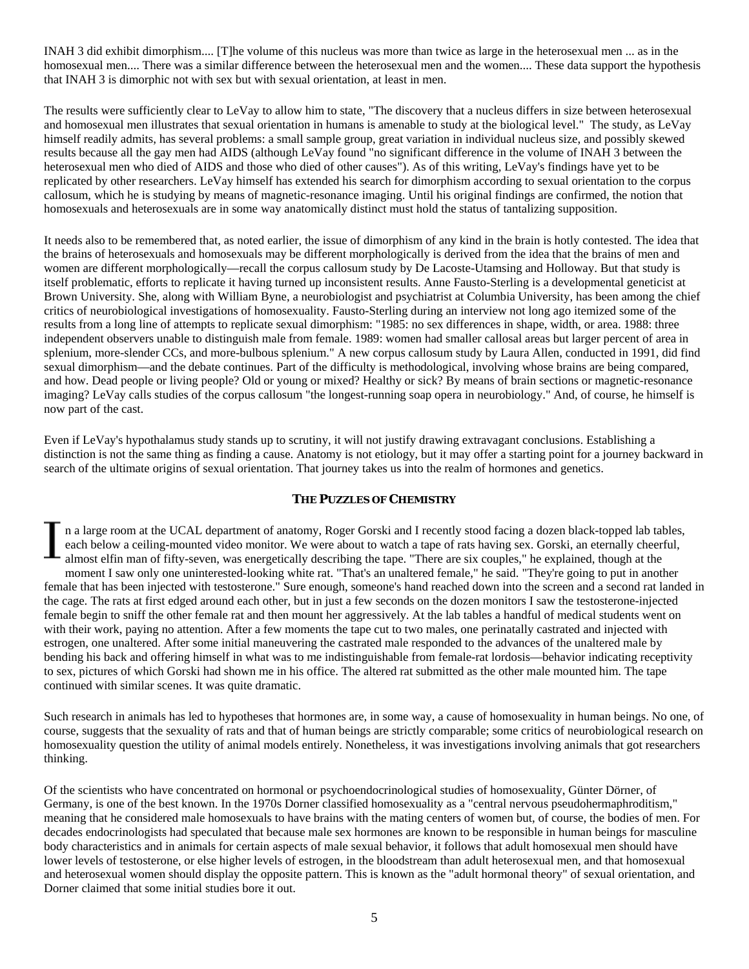INAH 3 did exhibit dimorphism.... [T]he volume of this nucleus was more than twice as large in the heterosexual men ... as in the homosexual men.... There was a similar difference between the heterosexual men and the women.... These data support the hypothesis that INAH 3 is dimorphic not with sex but with sexual orientation, at least in men.

The results were sufficiently clear to LeVay to allow him to state, "The discovery that a nucleus differs in size between heterosexual and homosexual men illustrates that sexual orientation in humans is amenable to study at the biological level." The study, as LeVay himself readily admits, has several problems: a small sample group, great variation in individual nucleus size, and possibly skewed results because all the gay men had AIDS (although LeVay found "no significant difference in the volume of INAH 3 between the heterosexual men who died of AIDS and those who died of other causes"). As of this writing, LeVay's findings have yet to be replicated by other researchers. LeVay himself has extended his search for dimorphism according to sexual orientation to the corpus callosum, which he is studying by means of magnetic-resonance imaging. Until his original findings are confirmed, the notion that homosexuals and heterosexuals are in some way anatomically distinct must hold the status of tantalizing supposition.

It needs also to be remembered that, as noted earlier, the issue of dimorphism of any kind in the brain is hotly contested. The idea that the brains of heterosexuals and homosexuals may be different morphologically is derived from the idea that the brains of men and women are different morphologically—recall the corpus callosum study by De Lacoste-Utamsing and Holloway. But that study is itself problematic, efforts to replicate it having turned up inconsistent results. Anne Fausto-Sterling is a developmental geneticist at Brown University. She, along with William Byne, a neurobiologist and psychiatrist at Columbia University, has been among the chief critics of neurobiological investigations of homosexuality. Fausto-Sterling during an interview not long ago itemized some of the results from a long line of attempts to replicate sexual dimorphism: "1985: no sex differences in shape, width, or area. 1988: three independent observers unable to distinguish male from female. 1989: women had smaller callosal areas but larger percent of area in splenium, more-slender CCs, and more-bulbous splenium." A new corpus callosum study by Laura Allen, conducted in 1991, did find sexual dimorphism—and the debate continues. Part of the difficulty is methodological, involving whose brains are being compared, and how. Dead people or living people? Old or young or mixed? Healthy or sick? By means of brain sections or magnetic-resonance imaging? LeVay calls studies of the corpus callosum "the longest-running soap opera in neurobiology." And, of course, he himself is now part of the cast.

Even if LeVay's hypothalamus study stands up to scrutiny, it will not justify drawing extravagant conclusions. Establishing a distinction is not the same thing as finding a cause. Anatomy is not etiology, but it may offer a starting point for a journey backward in search of the ultimate origins of sexual orientation. That journey takes us into the realm of hormones and genetics.

#### **THE PUZZLES OF CHEMISTRY**

n a large room at the UCAL department of anatomy, Roger Gorski and I recently stood facing a dozen black-topped lab tables, each below a ceiling-mounted video monitor. We were about to watch a tape of rats having sex. Gorski, an eternally cheerful, almost elfin man of fifty-seven, was energetically describing the tape. "There are six couples," he explained, though at the moment I saw only one uninterested-looking white rat. "That's an unaltered female," he said. "They're going to put in another female that has been injected with testosterone." Sure enough, someone's hand reached down into the screen and a second rat landed in the cage. The rats at first edged around each other, but in just a few seconds on the dozen monitors I saw the testosterone-injected female begin to sniff the other female rat and then mount her aggressively. At the lab tables a handful of medical students went on with their work, paying no attention. After a few moments the tape cut to two males, one perinatally castrated and injected with estrogen, one unaltered. After some initial maneuvering the castrated male responded to the advances of the unaltered male by bending his back and offering himself in what was to me indistinguishable from female-rat lordosis—behavior indicating receptivity to sex, pictures of which Gorski had shown me in his office. The altered rat submitted as the other male mounted him. The tape continued with similar scenes. It was quite dramatic.

Such research in animals has led to hypotheses that hormones are, in some way, a cause of homosexuality in human beings. No one, of course, suggests that the sexuality of rats and that of human beings are strictly comparable; some critics of neurobiological research on homosexuality question the utility of animal models entirely. Nonetheless, it was investigations involving animals that got researchers thinking.

Of the scientists who have concentrated on hormonal or psychoendocrinological studies of homosexuality, Günter Dörner, of Germany, is one of the best known. In the 1970s Dorner classified homosexuality as a "central nervous pseudohermaphroditism," meaning that he considered male homosexuals to have brains with the mating centers of women but, of course, the bodies of men. For decades endocrinologists had speculated that because male sex hormones are known to be responsible in human beings for masculine body characteristics and in animals for certain aspects of male sexual behavior, it follows that adult homosexual men should have lower levels of testosterone, or else higher levels of estrogen, in the bloodstream than adult heterosexual men, and that homosexual and heterosexual women should display the opposite pattern. This is known as the "adult hormonal theory" of sexual orientation, and Dorner claimed that some initial studies bore it out.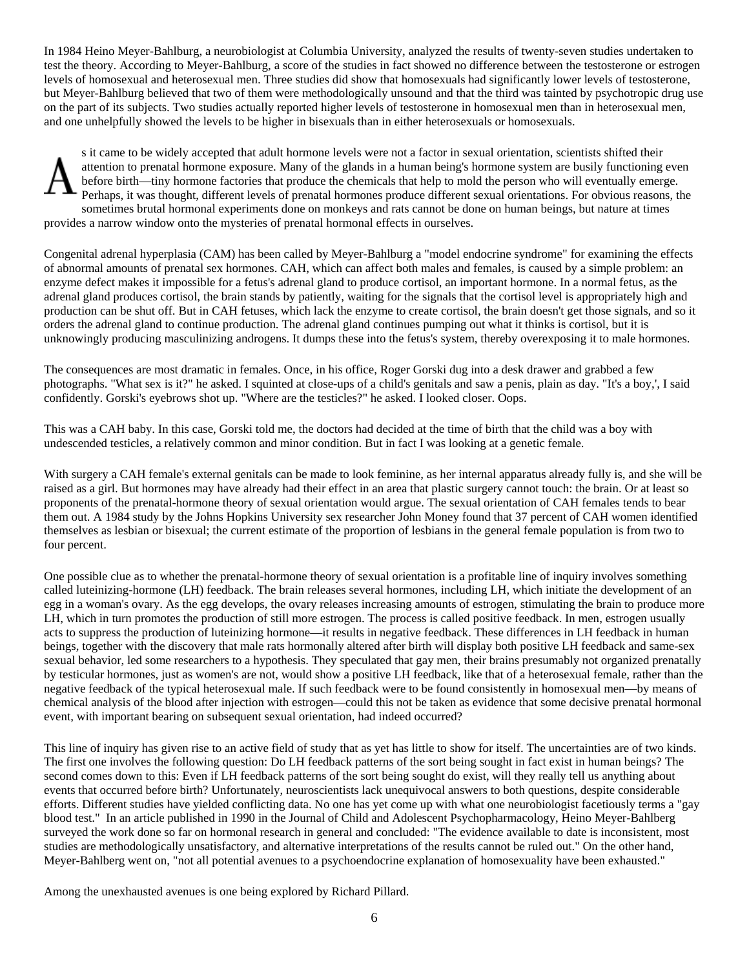In 1984 Heino Meyer-Bahlburg, a neurobiologist at Columbia University, analyzed the results of twenty-seven studies undertaken to test the theory. According to Meyer-Bahlburg, a score of the studies in fact showed no difference between the testosterone or estrogen levels of homosexual and heterosexual men. Three studies did show that homosexuals had significantly lower levels of testosterone, but Meyer-Bahlburg believed that two of them were methodologically unsound and that the third was tainted by psychotropic drug use on the part of its subjects. Two studies actually reported higher levels of testosterone in homosexual men than in heterosexual men, and one unhelpfully showed the levels to be higher in bisexuals than in either heterosexuals or homosexuals.

s it came to be widely accepted that adult hormone levels were not a factor in sexual orientation, scientists shifted their attention to prenatal hormone exposure. Many of the glands in a human being's hormone system are busily functioning even before birth—tiny hormone factories that produce the chemicals that help to mold the person who will eventually emerge. Perhaps, it was thought, different levels of prenatal hormones produce different sexual orientations. For obvious reasons, the sometimes brutal hormonal experiments done on monkeys and rats cannot be done on human beings, but nature at times provides a narrow window onto the mysteries of prenatal hormonal effects in ourselves.

Congenital adrenal hyperplasia (CAM) has been called by Meyer-Bahlburg a "model endocrine syndrome" for examining the effects of abnormal amounts of prenatal sex hormones. CAH, which can affect both males and females, is caused by a simple problem: an enzyme defect makes it impossible for a fetus's adrenal gland to produce cortisol, an important hormone. In a normal fetus, as the adrenal gland produces cortisol, the brain stands by patiently, waiting for the signals that the cortisol level is appropriately high and production can be shut off. But in CAH fetuses, which lack the enzyme to create cortisol, the brain doesn't get those signals, and so it orders the adrenal gland to continue production. The adrenal gland continues pumping out what it thinks is cortisol, but it is unknowingly producing masculinizing androgens. It dumps these into the fetus's system, thereby overexposing it to male hormones.

The consequences are most dramatic in females. Once, in his office, Roger Gorski dug into a desk drawer and grabbed a few photographs. "What sex is it?" he asked. I squinted at close-ups of a child's genitals and saw a penis, plain as day. "It's a boy,', I said confidently. Gorski's eyebrows shot up. "Where are the testicles?" he asked. I looked closer. Oops.

This was a CAH baby. In this case, Gorski told me, the doctors had decided at the time of birth that the child was a boy with undescended testicles, a relatively common and minor condition. But in fact I was looking at a genetic female.

With surgery a CAH female's external genitals can be made to look feminine, as her internal apparatus already fully is, and she will be raised as a girl. But hormones may have already had their effect in an area that plastic surgery cannot touch: the brain. Or at least so proponents of the prenatal-hormone theory of sexual orientation would argue. The sexual orientation of CAH females tends to bear them out. A 1984 study by the Johns Hopkins University sex researcher John Money found that 37 percent of CAH women identified themselves as lesbian or bisexual; the current estimate of the proportion of lesbians in the general female population is from two to four percent.

One possible clue as to whether the prenatal-hormone theory of sexual orientation is a profitable line of inquiry involves something called luteinizing-hormone (LH) feedback. The brain releases several hormones, including LH, which initiate the development of an egg in a woman's ovary. As the egg develops, the ovary releases increasing amounts of estrogen, stimulating the brain to produce more LH, which in turn promotes the production of still more estrogen. The process is called positive feedback. In men, estrogen usually acts to suppress the production of luteinizing hormone—it results in negative feedback. These differences in LH feedback in human beings, together with the discovery that male rats hormonally altered after birth will display both positive LH feedback and same-sex sexual behavior, led some researchers to a hypothesis. They speculated that gay men, their brains presumably not organized prenatally by testicular hormones, just as women's are not, would show a positive LH feedback, like that of a heterosexual female, rather than the negative feedback of the typical heterosexual male. If such feedback were to be found consistently in homosexual men—by means of chemical analysis of the blood after injection with estrogen—could this not be taken as evidence that some decisive prenatal hormonal event, with important bearing on subsequent sexual orientation, had indeed occurred?

This line of inquiry has given rise to an active field of study that as yet has little to show for itself. The uncertainties are of two kinds. The first one involves the following question: Do LH feedback patterns of the sort being sought in fact exist in human beings? The second comes down to this: Even if LH feedback patterns of the sort being sought do exist, will they really tell us anything about events that occurred before birth? Unfortunately, neuroscientists lack unequivocal answers to both questions, despite considerable efforts. Different studies have yielded conflicting data. No one has yet come up with what one neurobiologist facetiously terms a "gay blood test." In an article published in 1990 in the Journal of Child and Adolescent Psychopharmacology, Heino Meyer-Bahlberg surveyed the work done so far on hormonal research in general and concluded: "The evidence available to date is inconsistent, most studies are methodologically unsatisfactory, and alternative interpretations of the results cannot be ruled out." On the other hand, Meyer-Bahlberg went on, "not all potential avenues to a psychoendocrine explanation of homosexuality have been exhausted."

Among the unexhausted avenues is one being explored by Richard Pillard.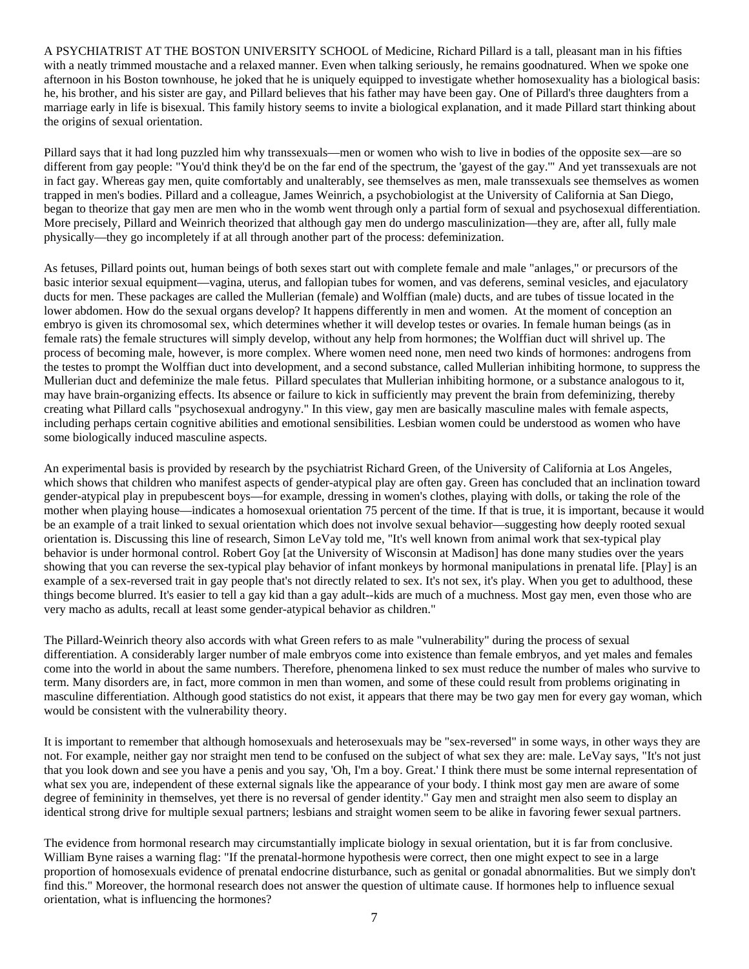A PSYCHIATRIST AT THE BOSTON UNIVERSITY SCHOOL of Medicine, Richard Pillard is a tall, pleasant man in his fifties with a neatly trimmed moustache and a relaxed manner. Even when talking seriously, he remains goodnatured. When we spoke one afternoon in his Boston townhouse, he joked that he is uniquely equipped to investigate whether homosexuality has a biological basis: he, his brother, and his sister are gay, and Pillard believes that his father may have been gay. One of Pillard's three daughters from a marriage early in life is bisexual. This family history seems to invite a biological explanation, and it made Pillard start thinking about the origins of sexual orientation.

Pillard says that it had long puzzled him why transsexuals—men or women who wish to live in bodies of the opposite sex—are so different from gay people: "You'd think they'd be on the far end of the spectrum, the 'gayest of the gay.'" And yet transsexuals are not in fact gay. Whereas gay men, quite comfortably and unalterably, see themselves as men, male transsexuals see themselves as women trapped in men's bodies. Pillard and a colleague, James Weinrich, a psychobiologist at the University of California at San Diego, began to theorize that gay men are men who in the womb went through only a partial form of sexual and psychosexual differentiation. More precisely, Pillard and Weinrich theorized that although gay men do undergo masculinization—they are, after all, fully male physically—they go incompletely if at all through another part of the process: defeminization.

As fetuses, Pillard points out, human beings of both sexes start out with complete female and male "anlages," or precursors of the basic interior sexual equipment—vagina, uterus, and fallopian tubes for women, and vas deferens, seminal vesicles, and ejaculatory ducts for men. These packages are called the Mullerian (female) and Wolffian (male) ducts, and are tubes of tissue located in the lower abdomen. How do the sexual organs develop? It happens differently in men and women. At the moment of conception an embryo is given its chromosomal sex, which determines whether it will develop testes or ovaries. In female human beings (as in female rats) the female structures will simply develop, without any help from hormones; the Wolffian duct will shrivel up. The process of becoming male, however, is more complex. Where women need none, men need two kinds of hormones: androgens from the testes to prompt the Wolffian duct into development, and a second substance, called Mullerian inhibiting hormone, to suppress the Mullerian duct and defeminize the male fetus. Pillard speculates that Mullerian inhibiting hormone, or a substance analogous to it, may have brain-organizing effects. Its absence or failure to kick in sufficiently may prevent the brain from defeminizing, thereby creating what Pillard calls "psychosexual androgyny." In this view, gay men are basically masculine males with female aspects, including perhaps certain cognitive abilities and emotional sensibilities. Lesbian women could be understood as women who have some biologically induced masculine aspects.

An experimental basis is provided by research by the psychiatrist Richard Green, of the University of California at Los Angeles, which shows that children who manifest aspects of gender-atypical play are often gay. Green has concluded that an inclination toward gender-atypical play in prepubescent boys—for example, dressing in women's clothes, playing with dolls, or taking the role of the mother when playing house—indicates a homosexual orientation 75 percent of the time. If that is true, it is important, because it would be an example of a trait linked to sexual orientation which does not involve sexual behavior—suggesting how deeply rooted sexual orientation is. Discussing this line of research, Simon LeVay told me, "It's well known from animal work that sex-typical play behavior is under hormonal control. Robert Goy [at the University of Wisconsin at Madison] has done many studies over the years showing that you can reverse the sex-typical play behavior of infant monkeys by hormonal manipulations in prenatal life. [Play] is an example of a sex-reversed trait in gay people that's not directly related to sex. It's not sex, it's play. When you get to adulthood, these things become blurred. It's easier to tell a gay kid than a gay adult--kids are much of a muchness. Most gay men, even those who are very macho as adults, recall at least some gender-atypical behavior as children."

The Pillard-Weinrich theory also accords with what Green refers to as male "vulnerability" during the process of sexual differentiation. A considerably larger number of male embryos come into existence than female embryos, and yet males and females come into the world in about the same numbers. Therefore, phenomena linked to sex must reduce the number of males who survive to term. Many disorders are, in fact, more common in men than women, and some of these could result from problems originating in masculine differentiation. Although good statistics do not exist, it appears that there may be two gay men for every gay woman, which would be consistent with the vulnerability theory.

It is important to remember that although homosexuals and heterosexuals may be "sex-reversed" in some ways, in other ways they are not. For example, neither gay nor straight men tend to be confused on the subject of what sex they are: male. LeVay says, "It's not just that you look down and see you have a penis and you say, 'Oh, I'm a boy. Great.' I think there must be some internal representation of what sex you are, independent of these external signals like the appearance of your body. I think most gay men are aware of some degree of femininity in themselves, yet there is no reversal of gender identity." Gay men and straight men also seem to display an identical strong drive for multiple sexual partners; lesbians and straight women seem to be alike in favoring fewer sexual partners.

The evidence from hormonal research may circumstantially implicate biology in sexual orientation, but it is far from conclusive. William Byne raises a warning flag: "If the prenatal-hormone hypothesis were correct, then one might expect to see in a large proportion of homosexuals evidence of prenatal endocrine disturbance, such as genital or gonadal abnormalities. But we simply don't find this." Moreover, the hormonal research does not answer the question of ultimate cause. If hormones help to influence sexual orientation, what is influencing the hormones?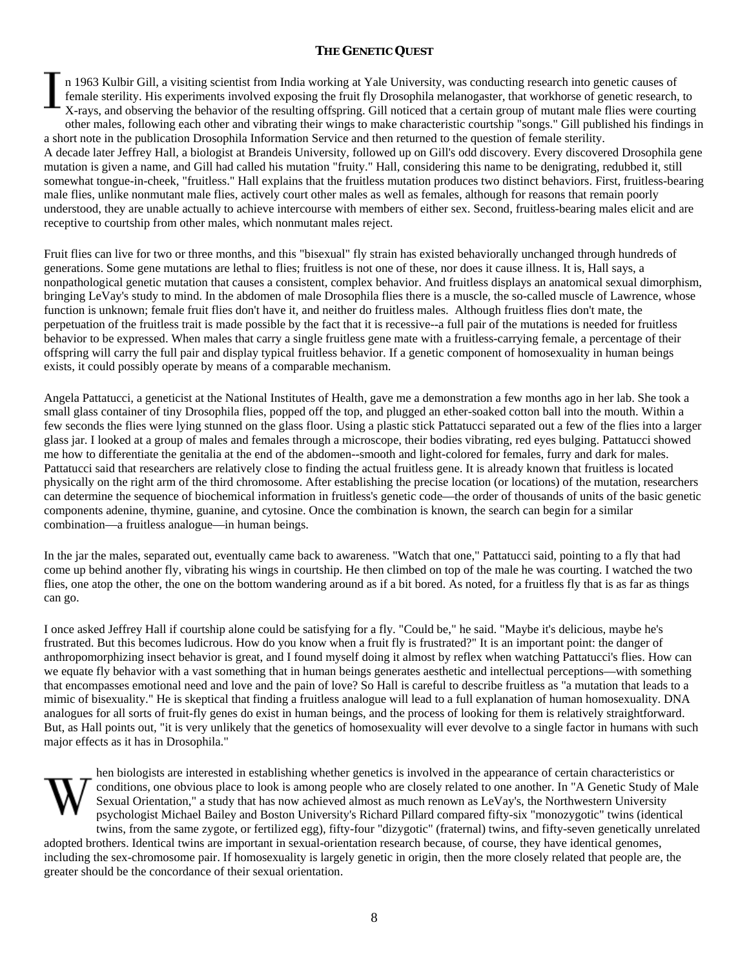## **THE GENETIC QUEST**

n 1963 Kulbir Gill, a visiting scientist from India working at Yale University, was conducting research into genetic causes of female sterility. His experiments involved exposing the fruit fly Drosophila melanogaster, that workhorse of genetic research, to X-rays, and observing the behavior of the resulting offspring. Gill noticed that a certain group of mutant male flies were courting other males, following each other and vibrating their wings to make characteristic courtship "songs." Gill published his findings in a short note in the publication Drosophila Information Service and then returned to the question of female sterility. A decade later Jeffrey Hall, a biologist at Brandeis University, followed up on Gill's odd discovery. Every discovered Drosophila gene mutation is given a name, and Gill had called his mutation "fruity." Hall, considering this name to be denigrating, redubbed it, still somewhat tongue-in-cheek, "fruitless." Hall explains that the fruitless mutation produces two distinct behaviors. First, fruitless-bearing male flies, unlike nonmutant male flies, actively court other males as well as females, although for reasons that remain poorly understood, they are unable actually to achieve intercourse with members of either sex. Second, fruitless-bearing males elicit and are receptive to courtship from other males, which nonmutant males reject.

Fruit flies can live for two or three months, and this "bisexual" fly strain has existed behaviorally unchanged through hundreds of generations. Some gene mutations are lethal to flies; fruitless is not one of these, nor does it cause illness. It is, Hall says, a nonpathological genetic mutation that causes a consistent, complex behavior. And fruitless displays an anatomical sexual dimorphism, bringing LeVay's study to mind. In the abdomen of male Drosophila flies there is a muscle, the so-called muscle of Lawrence, whose function is unknown; female fruit flies don't have it, and neither do fruitless males. Although fruitless flies don't mate, the perpetuation of the fruitless trait is made possible by the fact that it is recessive--a full pair of the mutations is needed for fruitless behavior to be expressed. When males that carry a single fruitless gene mate with a fruitless-carrying female, a percentage of their offspring will carry the full pair and display typical fruitless behavior. If a genetic component of homosexuality in human beings exists, it could possibly operate by means of a comparable mechanism.

Angela Pattatucci, a geneticist at the National Institutes of Health, gave me a demonstration a few months ago in her lab. She took a small glass container of tiny Drosophila flies, popped off the top, and plugged an ether-soaked cotton ball into the mouth. Within a few seconds the flies were lying stunned on the glass floor. Using a plastic stick Pattatucci separated out a few of the flies into a larger glass jar. I looked at a group of males and females through a microscope, their bodies vibrating, red eyes bulging. Pattatucci showed me how to differentiate the genitalia at the end of the abdomen--smooth and light-colored for females, furry and dark for males. Pattatucci said that researchers are relatively close to finding the actual fruitless gene. It is already known that fruitless is located physically on the right arm of the third chromosome. After establishing the precise location (or locations) of the mutation, researchers can determine the sequence of biochemical information in fruitless's genetic code—the order of thousands of units of the basic genetic components adenine, thymine, guanine, and cytosine. Once the combination is known, the search can begin for a similar combination—a fruitless analogue—in human beings.

In the jar the males, separated out, eventually came back to awareness. "Watch that one," Pattatucci said, pointing to a fly that had come up behind another fly, vibrating his wings in courtship. He then climbed on top of the male he was courting. I watched the two flies, one atop the other, the one on the bottom wandering around as if a bit bored. As noted, for a fruitless fly that is as far as things can go.

I once asked Jeffrey Hall if courtship alone could be satisfying for a fly. "Could be," he said. "Maybe it's delicious, maybe he's frustrated. But this becomes ludicrous. How do you know when a fruit fly is frustrated?" It is an important point: the danger of anthropomorphizing insect behavior is great, and I found myself doing it almost by reflex when watching Pattatucci's flies. How can we equate fly behavior with a vast something that in human beings generates aesthetic and intellectual perceptions—with something that encompasses emotional need and love and the pain of love? So Hall is careful to describe fruitless as "a mutation that leads to a mimic of bisexuality." He is skeptical that finding a fruitless analogue will lead to a full explanation of human homosexuality. DNA analogues for all sorts of fruit-fly genes do exist in human beings, and the process of looking for them is relatively straightforward. But, as Hall points out, "it is very unlikely that the genetics of homosexuality will ever devolve to a single factor in humans with such major effects as it has in Drosophila."



hen biologists are interested in establishing whether genetics is involved in the appearance of certain characteristics or conditions, one obvious place to look is among people who are closely related to one another. In "A Genetic Study of Male Sexual Orientation," a study that has now achieved almost as much renown as LeVay's, the Northwestern University psychologist Michael Bailey and Boston University's Richard Pillard compared fifty-six "monozygotic" twins (identical twins, from the same zygote, or fertilized egg), fifty-four "dizygotic" (fraternal) twins, and fifty-seven genetically unrelated

adopted brothers. Identical twins are important in sexual-orientation research because, of course, they have identical genomes, including the sex-chromosome pair. If homosexuality is largely genetic in origin, then the more closely related that people are, the greater should be the concordance of their sexual orientation.